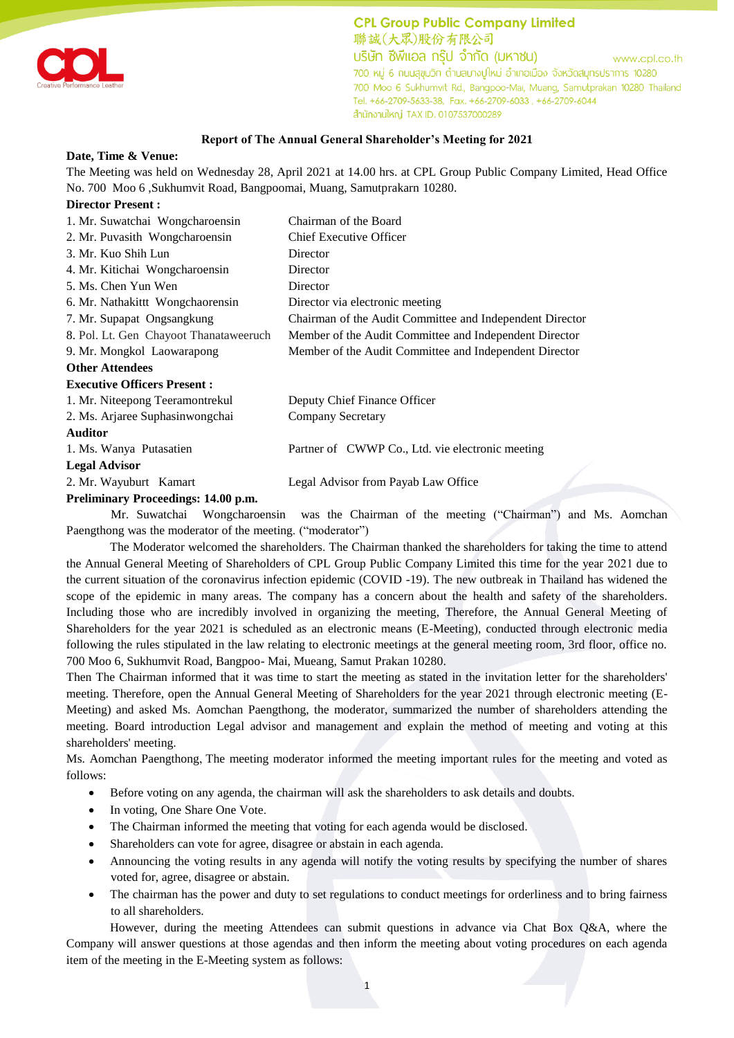

**CPL Group Public Company Limited** 聯誠(大眾)股份有限公司 บริษัท ซีพีแอล กรุ๊ป จำกัด (มหาชน) www.cpl.co.th 700 หมู่ 6 ถนนสุขุมวิท ตำบลบางปูใหม่ อำเภอเมือง จังหวัดสมุทรปราการ 10280 700 Moo 6 Sukhumvit Rd., Bangpoo-Mai, Muang, Samutprakan 10280 Thailand Tel. +66-2709-5633-38, Fax. +66-2709-6033, +66-2709-6044 สำนักงานใหญ่ TAX ID. 0107537000289

## **Report of The Annual General Shareholder's Meeting for 2021**

## **Date, Time & Venue:**

The Meeting was held on Wednesday 28, April 2021 at 14.00 hrs. at CPL Group Public Company Limited, Head Office No. 700 Moo 6 ,Sukhumvit Road, Bangpoomai, Muang, Samutprakarn 10280.

## **Director Present :**

| 1. Mr. Suwatchai Wongcharoensin          | Chairman of the Board                                    |
|------------------------------------------|----------------------------------------------------------|
| 2. Mr. Puvasith Wongcharoensin           | <b>Chief Executive Officer</b>                           |
| 3. Mr. Kuo Shih Lun                      | Director                                                 |
| 4. Mr. Kitichai Wongcharoensin           | Director                                                 |
| 5. Ms. Chen Yun Wen                      | Director                                                 |
| 6. Mr. Nathakittt Wongchaorensin         | Director via electronic meeting                          |
| 7. Mr. Supapat Ongsangkung               | Chairman of the Audit Committee and Independent Director |
| 8. Pol. Lt. Gen Chayoot Thanataweeruch   | Member of the Audit Committee and Independent Director   |
| 9. Mr. Mongkol Laowarapong               | Member of the Audit Committee and Independent Director   |
| <b>Other Attendees</b>                   |                                                          |
| <b>Executive Officers Present:</b>       |                                                          |
| 1. Mr. Niteepong Teeramontrekul          | Deputy Chief Finance Officer                             |
| 2. Ms. Arjaree Suphasinwongchai          | Company Secretary                                        |
| <b>Auditor</b>                           |                                                          |
| 1. Ms. Wanya Putasatien                  | Partner of CWWP Co., Ltd. vie electronic meeting         |
| <b>Legal Advisor</b>                     |                                                          |
| 2. Mr. Wayuburt Kamart                   | Legal Advisor from Payab Law Office                      |
| <b>Draliminary Dragoodings: 14.00 nm</b> |                                                          |

## **Preliminary Proceedings: 14.00 p.m.**

Mr. Suwatchai Wongcharoensin was the Chairman of the meeting ("Chairman") and Ms. Aomchan Paengthong was the moderator of the meeting. ("moderator")

The Moderator welcomed the shareholders. The Chairman thanked the shareholders for taking the time to attend the Annual General Meeting of Shareholders of CPL Group Public Company Limited this time for the year 2021 due to the current situation of the coronavirus infection epidemic (COVID -19). The new outbreak in Thailand has widened the scope of the epidemic in many areas. The company has a concern about the health and safety of the shareholders. Including those who are incredibly involved in organizing the meeting, Therefore, the Annual General Meeting of Shareholders for the year 2021 is scheduled as an electronic means (E-Meeting), conducted through electronic media following the rules stipulated in the law relating to electronic meetings at the general meeting room, 3rd floor, office no. 700 Moo 6, Sukhumvit Road, Bangpoo- Mai, Mueang, Samut Prakan 10280.

Then The Chairman informed that it was time to start the meeting as stated in the invitation letter for the shareholders' meeting. Therefore, open the Annual General Meeting of Shareholders for the year 2021 through electronic meeting (E-Meeting) and asked Ms. Aomchan Paengthong, the moderator, summarized the number of shareholders attending the meeting. Board introduction Legal advisor and management and explain the method of meeting and voting at this shareholders' meeting.

Ms. Aomchan Paengthong, The meeting moderator informed the meeting important rules for the meeting and voted as follows:

- Before voting on any agenda, the chairman will ask the shareholders to ask details and doubts.
- In voting, One Share One Vote.
- The Chairman informed the meeting that voting for each agenda would be disclosed.
- Shareholders can vote for agree, disagree or abstain in each agenda.
- Announcing the voting results in any agenda will notify the voting results by specifying the number of shares voted for, agree, disagree or abstain.
- The chairman has the power and duty to set regulations to conduct meetings for orderliness and to bring fairness to all shareholders.

However, during the meeting Attendees can submit questions in advance via Chat Box Q&A, where the Company will answer questions at those agendas and then inform the meeting about voting procedures on each agenda item of the meeting in the E-Meeting system as follows: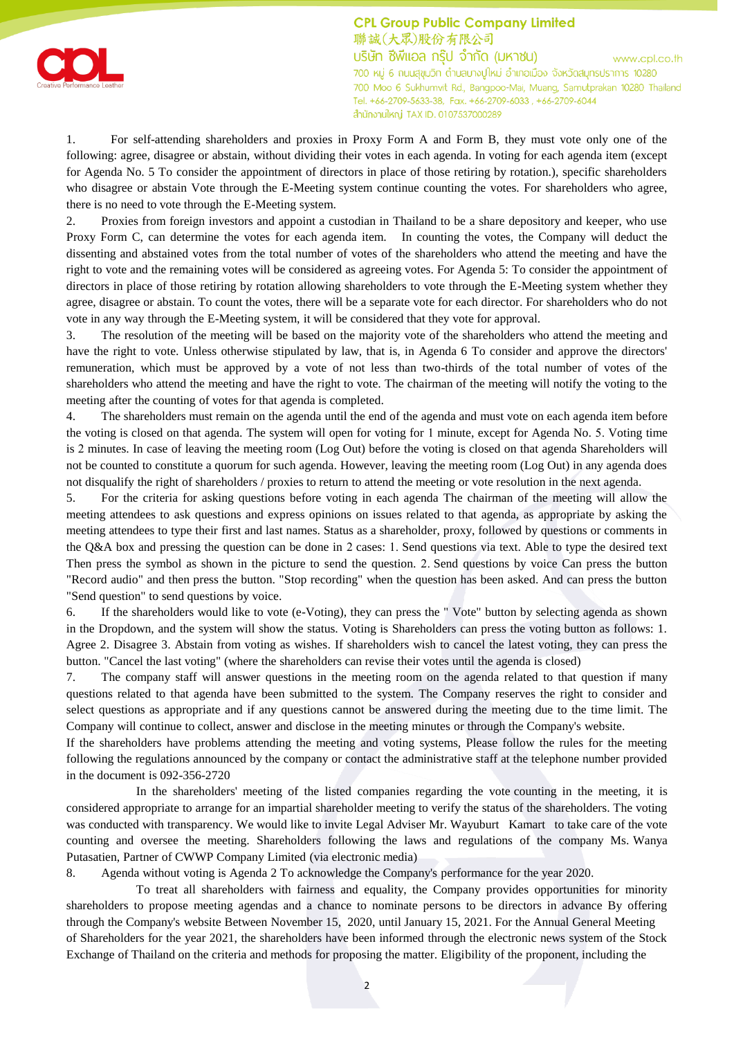

**CPL Group Public Company Limited** 聯誠(大眾)股份有限公司 บริษัท ซีพีแอล กรุ๊ป จำกัด (มหาชน) www.cpl.co.th 700 หมู่ 6 ถนนสุขุมวิท ตำบลบางปูใหม่ อำเภอเมือง จังหวัดสมุทรปราการ 10280 700 Moo 6 Sukhumvit Rd., Bangpoo-Mai, Muang, Samutprakan 10280 Thailand Tel. +66-2709-5633-38, Fax. +66-2709-6033, +66-2709-6044 สำนักงานใหญ่ TAX ID. 0107537000289

1. For self-attending shareholders and proxies in Proxy Form A and Form B, they must vote only one of the following: agree, disagree or abstain, without dividing their votes in each agenda. In voting for each agenda item (except for Agenda No. 5 To consider the appointment of directors in place of those retiring by rotation.), specific shareholders who disagree or abstain Vote through the E-Meeting system continue counting the votes. For shareholders who agree, there is no need to vote through the E-Meeting system.

2. Proxies from foreign investors and appoint a custodian in Thailand to be a share depository and keeper, who use Proxy Form C, can determine the votes for each agenda item. In counting the votes, the Company will deduct the dissenting and abstained votes from the total number of votes of the shareholders who attend the meeting and have the right to vote and the remaining votes will be considered as agreeing votes. For Agenda 5: To consider the appointment of directors in place of those retiring by rotation allowing shareholders to vote through the E-Meeting system whether they agree, disagree or abstain. To count the votes, there will be a separate vote for each director. For shareholders who do not vote in any way through the E-Meeting system, it will be considered that they vote for approval.

3. The resolution of the meeting will be based on the majority vote of the shareholders who attend the meeting and have the right to vote. Unless otherwise stipulated by law, that is, in Agenda 6 To consider and approve the directors' remuneration, which must be approved by a vote of not less than two-thirds of the total number of votes of the shareholders who attend the meeting and have the right to vote. The chairman of the meeting will notify the voting to the meeting after the counting of votes for that agenda is completed.

4. The shareholders must remain on the agenda until the end of the agenda and must vote on each agenda item before the voting is closed on that agenda. The system will open for voting for 1 minute, except for Agenda No. 5. Voting time is 2 minutes. In case of leaving the meeting room (Log Out) before the voting is closed on that agenda Shareholders will not be counted to constitute a quorum for such agenda. However, leaving the meeting room (Log Out) in any agenda does not disqualify the right of shareholders / proxies to return to attend the meeting or vote resolution in the next agenda.

5. For the criteria for asking questions before voting in each agenda The chairman of the meeting will allow the meeting attendees to ask questions and express opinions on issues related to that agenda, as appropriate by asking the meeting attendees to type their first and last names. Status as a shareholder, proxy, followed by questions or comments in the Q&A box and pressing the question can be done in 2 cases: 1. Send questions via text. Able to type the desired text Then press the symbol as shown in the picture to send the question. 2. Send questions by voice Can press the button "Record audio" and then press the button. "Stop recording" when the question has been asked. And can press the button "Send question" to send questions by voice.

6. If the shareholders would like to vote (e-Voting), they can press the " Vote" button by selecting agenda as shown in the Dropdown, and the system will show the status. Voting is Shareholders can press the voting button as follows: 1. Agree 2. Disagree 3. Abstain from voting as wishes. If shareholders wish to cancel the latest voting, they can press the button. "Cancel the last voting" (where the shareholders can revise their votes until the agenda is closed)

7. The company staff will answer questions in the meeting room on the agenda related to that question if many questions related to that agenda have been submitted to the system. The Company reserves the right to consider and select questions as appropriate and if any questions cannot be answered during the meeting due to the time limit. The Company will continue to collect, answer and disclose in the meeting minutes or through the Company's website.

If the shareholders have problems attending the meeting and voting systems, Please follow the rules for the meeting following the regulations announced by the company or contact the administrative staff at the telephone number provided in the document is 092-356-2720

In the shareholders' meeting of the listed companies regarding the vote counting in the meeting, it is considered appropriate to arrange for an impartial shareholder meeting to verify the status of the shareholders. The voting was conducted with transparency. We would like to invite Legal Adviser Mr. Wayuburt Kamart to take care of the vote counting and oversee the meeting. Shareholders following the laws and regulations of the company Ms. Wanya Putasatien, Partner of CWWP Company Limited (via electronic media)

8. Agenda without voting is Agenda 2 To acknowledge the Company's performance for the year 2020.

To treat all shareholders with fairness and equality, the Company provides opportunities for minority shareholders to propose meeting agendas and a chance to nominate persons to be directors in advance By offering through the Company's website Between November 15, 2020, until January 15, 2021. For the Annual General Meeting of Shareholders for the year 2021, the shareholders have been informed through the electronic news system of the Stock Exchange of Thailand on the criteria and methods for proposing the matter. Eligibility of the proponent, including the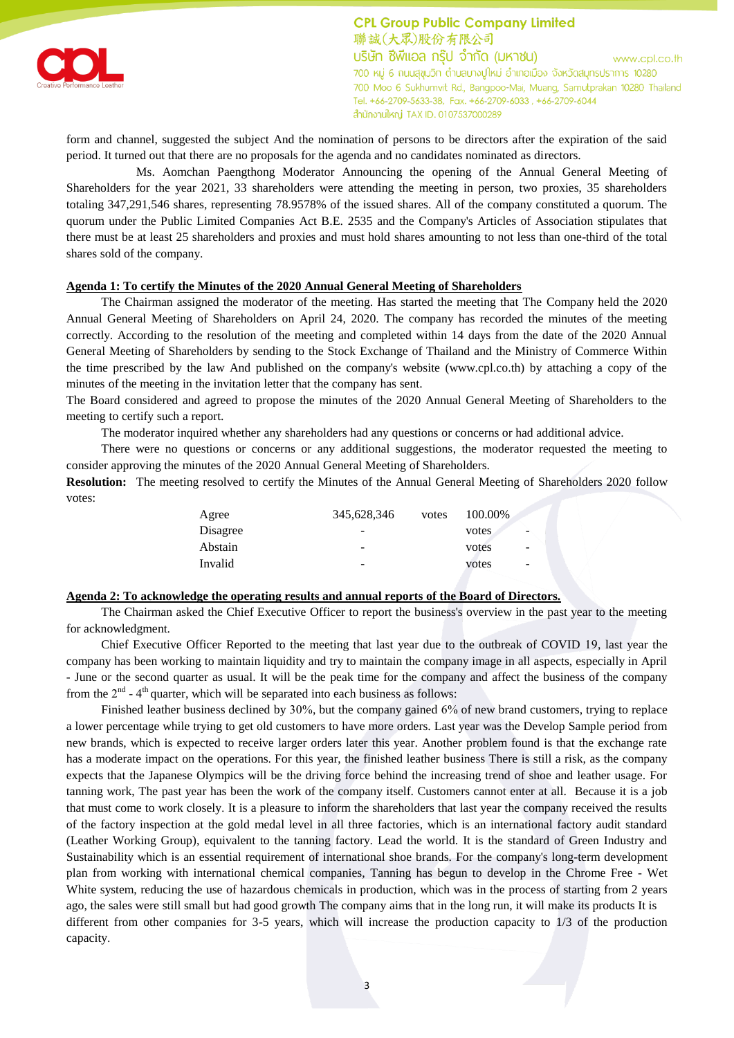

**CPL Group Public Company Limited** 聯誠(大眾)股份有限公司 บริษัท ซีพีแอล กรุ๊ป จำกัด (มหาชน) www.cpl.co.th 700 หมู่ 6 ถนนสุขุมวิท ตำบลบางปูใหม่ อำเภอเมือง จังหวัดสมุทรปราการ 10280 700 Moo 6 Sukhumvit Rd., Bangpoo-Mai, Muang, Samutprakan 10280 Thailand Tel. +66-2709-5633-38, Fax. +66-2709-6033, +66-2709-6044 ลำนักงานใหญ่ TAX ID. 0107537000289

form and channel, suggested the subject And the nomination of persons to be directors after the expiration of the said period. It turned out that there are no proposals for the agenda and no candidates nominated as directors.

Ms. Aomchan Paengthong Moderator Announcing the opening of the Annual General Meeting of Shareholders for the year 2021, 33 shareholders were attending the meeting in person, two proxies, 35 shareholders totaling 347,291,546 shares, representing 78.9578% of the issued shares. All of the company constituted a quorum. The quorum under the Public Limited Companies Act B.E. 2535 and the Company's Articles of Association stipulates that there must be at least 25 shareholders and proxies and must hold shares amounting to not less than one-third of the total shares sold of the company.

## **Agenda 1: To certify the Minutes of the 2020 Annual General Meeting of Shareholders**

The Chairman assigned the moderator of the meeting. Has started the meeting that The Company held the 2020 Annual General Meeting of Shareholders on April 24, 2020. The company has recorded the minutes of the meeting correctly. According to the resolution of the meeting and completed within 14 days from the date of the 2020 Annual General Meeting of Shareholders by sending to the Stock Exchange of Thailand and the Ministry of Commerce Within the time prescribed by the law And published on the company's website (www.cpl.co.th) by attaching a copy of the minutes of the meeting in the invitation letter that the company has sent.

The Board considered and agreed to propose the minutes of the 2020 Annual General Meeting of Shareholders to the meeting to certify such a report.

The moderator inquired whether any shareholders had any questions or concerns or had additional advice.

There were no questions or concerns or any additional suggestions, the moderator requested the meeting to consider approving the minutes of the 2020 Annual General Meeting of Shareholders.

**Resolution:** The meeting resolved to certify the Minutes of the Annual General Meeting of Shareholders 2020 follow votes:

| Agree    | 345,628,346    | votes | 100.00% |                          |
|----------|----------------|-------|---------|--------------------------|
| Disagree | $\overline{a}$ |       | votes.  | $\overline{\phantom{a}}$ |
| Abstain  | $\overline{a}$ |       | votes   | $\overline{\phantom{a}}$ |
| Invalid  | $\overline{a}$ |       | votes   | $\overline{\phantom{a}}$ |
|          |                |       |         |                          |

## **Agenda 2: To acknowledge the operating results and annual reports of the Board of Directors.**

The Chairman asked the Chief Executive Officer to report the business's overview in the past year to the meeting for acknowledgment.

Chief Executive Officer Reported to the meeting that last year due to the outbreak of COVID 19, last year the company has been working to maintain liquidity and try to maintain the company image in all aspects, especially in April - June or the second quarter as usual. It will be the peak time for the company and affect the business of the company from the  $2<sup>nd</sup>$  - 4<sup>th</sup> quarter, which will be separated into each business as follows:

Finished leather business declined by 30%, but the company gained 6% of new brand customers, trying to replace a lower percentage while trying to get old customers to have more orders. Last year was the Develop Sample period from new brands, which is expected to receive larger orders later this year. Another problem found is that the exchange rate has a moderate impact on the operations. For this year, the finished leather business There is still a risk, as the company expects that the Japanese Olympics will be the driving force behind the increasing trend of shoe and leather usage. For tanning work, The past year has been the work of the company itself. Customers cannot enter at all. Because it is a job that must come to work closely. It is a pleasure to inform the shareholders that last year the company received the results of the factory inspection at the gold medal level in all three factories, which is an international factory audit standard (Leather Working Group), equivalent to the tanning factory. Lead the world. It is the standard of Green Industry and Sustainability which is an essential requirement of international shoe brands. For the company's long-term development plan from working with international chemical companies, Tanning has begun to develop in the Chrome Free - Wet White system, reducing the use of hazardous chemicals in production, which was in the process of starting from 2 years ago, the sales were still small but had good growth The company aims that in the long run, it will make its products It is different from other companies for 3-5 years, which will increase the production capacity to 1/3 of the production capacity.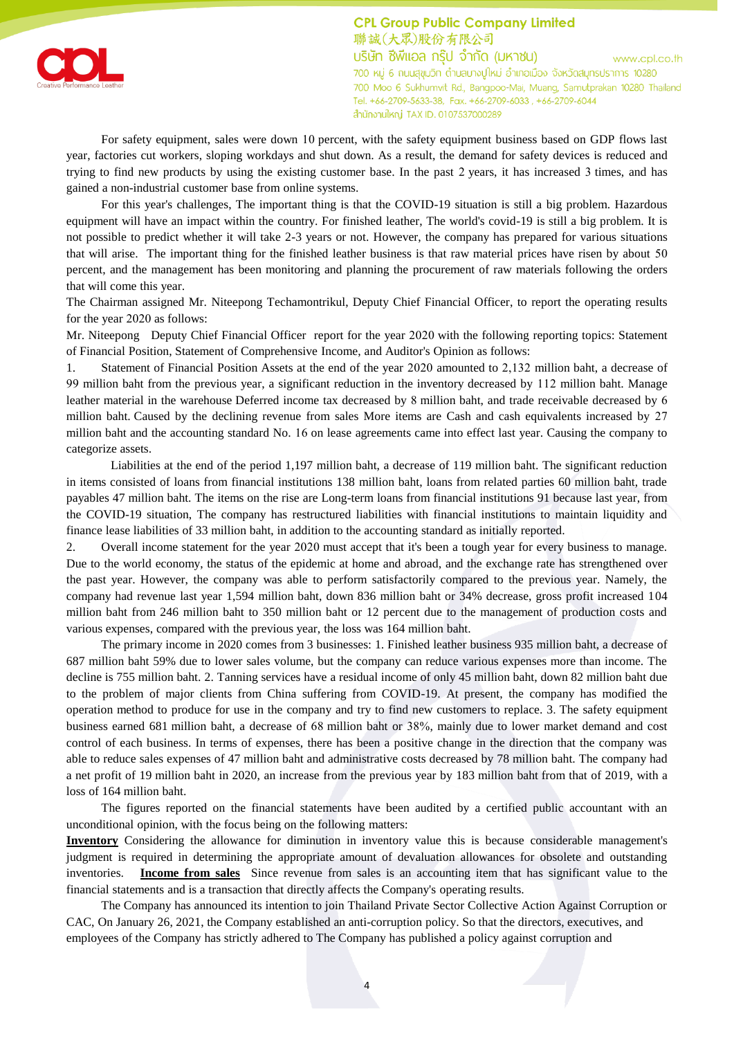

**CPL Group Public Company Limited** 聯誠(大眾)股份有限公司 บริษัท ซีพีแอล กรุ๊ป จำกัด (มหาชน) www.cpl.co.th 700 หมู่ 6 ถนนสุขุมวิท ตำบลบางปูใหม่ อำเภอเมือง จังหวัดสมุทรปราการ 10280 700 Moo 6 Sukhumvit Rd., Bangpoo-Mai, Muang, Samutprakan 10280 Thailand Tel. +66-2709-5633-38, Fax. +66-2709-6033, +66-2709-6044 ลำนักงานใหญ่ TAX ID. 0107537000289

For safety equipment, sales were down 10 percent, with the safety equipment business based on GDP flows last year, factories cut workers, sloping workdays and shut down. As a result, the demand for safety devices is reduced and trying to find new products by using the existing customer base. In the past 2 years, it has increased 3 times, and has gained a non-industrial customer base from online systems.

For this year's challenges, The important thing is that the COVID-19 situation is still a big problem. Hazardous equipment will have an impact within the country. For finished leather, The world's covid-19 is still a big problem. It is not possible to predict whether it will take 2-3 years or not. However, the company has prepared for various situations that will arise. The important thing for the finished leather business is that raw material prices have risen by about 50 percent, and the management has been monitoring and planning the procurement of raw materials following the orders that will come this year.

The Chairman assigned Mr. Niteepong Techamontrikul, Deputy Chief Financial Officer, to report the operating results for the year 2020 as follows:

Mr. Niteepong Deputy Chief Financial Officer report for the year 2020 with the following reporting topics: Statement of Financial Position, Statement of Comprehensive Income, and Auditor's Opinion as follows:

1. Statement of Financial Position Assets at the end of the year 2020 amounted to 2,132 million baht, a decrease of 99 million baht from the previous year, a significant reduction in the inventory decreased by 112 million baht. Manage leather material in the warehouse Deferred income tax decreased by 8 million baht, and trade receivable decreased by 6 million baht. Caused by the declining revenue from sales More items are Cash and cash equivalents increased by 27 million baht and the accounting standard No. 16 on lease agreements came into effect last year. Causing the company to categorize assets.

Liabilities at the end of the period 1,197 million baht, a decrease of 119 million baht. The significant reduction in items consisted of loans from financial institutions 138 million baht, loans from related parties 60 million baht, trade payables 47 million baht. The items on the rise are Long-term loans from financial institutions 91 because last year, from the COVID-19 situation, The company has restructured liabilities with financial institutions to maintain liquidity and finance lease liabilities of 33 million baht, in addition to the accounting standard as initially reported.

2. Overall income statement for the year 2020 must accept that it's been a tough year for every business to manage. Due to the world economy, the status of the epidemic at home and abroad, and the exchange rate has strengthened over the past year. However, the company was able to perform satisfactorily compared to the previous year. Namely, the company had revenue last year 1,594 million baht, down 836 million baht or 34% decrease, gross profit increased 104 million baht from 246 million baht to 350 million baht or 12 percent due to the management of production costs and various expenses, compared with the previous year, the loss was 164 million baht.

The primary income in 2020 comes from 3 businesses: 1. Finished leather business 935 million baht, a decrease of 687 million baht 59% due to lower sales volume, but the company can reduce various expenses more than income. The decline is 755 million baht. 2. Tanning services have a residual income of only 45 million baht, down 82 million baht due to the problem of major clients from China suffering from COVID-19. At present, the company has modified the operation method to produce for use in the company and try to find new customers to replace. 3. The safety equipment business earned 681 million baht, a decrease of 68 million baht or 38%, mainly due to lower market demand and cost control of each business. In terms of expenses, there has been a positive change in the direction that the company was able to reduce sales expenses of 47 million baht and administrative costs decreased by 78 million baht. The company had a net profit of 19 million baht in 2020, an increase from the previous year by 183 million baht from that of 2019, with a loss of 164 million baht.

The figures reported on the financial statements have been audited by a certified public accountant with an unconditional opinion, with the focus being on the following matters:

**Inventory** Considering the allowance for diminution in inventory value this is because considerable management's judgment is required in determining the appropriate amount of devaluation allowances for obsolete and outstanding inventories. **Income from sales** Since revenue from sales is an accounting item that has significant value to the financial statements and is a transaction that directly affects the Company's operating results.

The Company has announced its intention to join Thailand Private Sector Collective Action Against Corruption or CAC, On January 26, 2021, the Company established an anti-corruption policy. So that the directors, executives, and employees of the Company has strictly adhered to The Company has published a policy against corruption and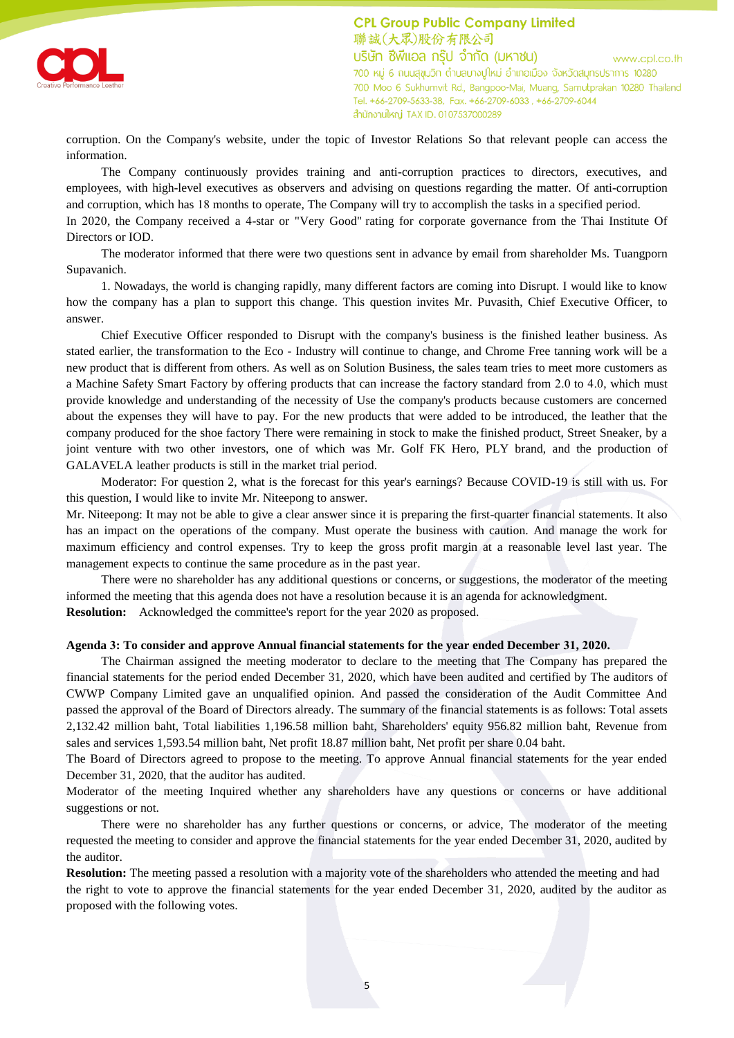



corruption. On the Company's website, under the topic of Investor Relations So that relevant people can access the information.

The Company continuously provides training and anti-corruption practices to directors, executives, and employees, with high-level executives as observers and advising on questions regarding the matter. Of anti-corruption and corruption, which has 18 months to operate, The Company will try to accomplish the tasks in a specified period. In 2020, the Company received a 4-star or "Very Good" rating for corporate governance from the Thai Institute Of Directors or IOD.

The moderator informed that there were two questions sent in advance by email from shareholder Ms. Tuangporn Supavanich.

1. Nowadays, the world is changing rapidly, many different factors are coming into Disrupt. I would like to know how the company has a plan to support this change. This question invites Mr. Puvasith, Chief Executive Officer, to answer.

Chief Executive Officer responded to Disrupt with the company's business is the finished leather business. As stated earlier, the transformation to the Eco - Industry will continue to change, and Chrome Free tanning work will be a new product that is different from others. As well as on Solution Business, the sales team tries to meet more customers as a Machine Safety Smart Factory by offering products that can increase the factory standard from 2.0 to 4.0, which must provide knowledge and understanding of the necessity of Use the company's products because customers are concerned about the expenses they will have to pay. For the new products that were added to be introduced, the leather that the company produced for the shoe factory There were remaining in stock to make the finished product, Street Sneaker, by a joint venture with two other investors, one of which was Mr. Golf FK Hero, PLY brand, and the production of GALAVELA leather products is still in the market trial period.

Moderator: For question 2, what is the forecast for this year's earnings? Because COVID-19 is still with us. For this question, I would like to invite Mr. Niteepong to answer.

Mr. Niteepong: It may not be able to give a clear answer since it is preparing the first-quarter financial statements. It also has an impact on the operations of the company. Must operate the business with caution. And manage the work for maximum efficiency and control expenses. Try to keep the gross profit margin at a reasonable level last year. The management expects to continue the same procedure as in the past year.

There were no shareholder has any additional questions or concerns, or suggestions, the moderator of the meeting informed the meeting that this agenda does not have a resolution because it is an agenda for acknowledgment. **Resolution:** Acknowledged the committee's report for the year 2020 as proposed.

# **Agenda 3: To consider and approve Annual financial statements for the year ended December 31, 2020.**

The Chairman assigned the meeting moderator to declare to the meeting that The Company has prepared the financial statements for the period ended December 31, 2020, which have been audited and certified by The auditors of CWWP Company Limited gave an unqualified opinion. And passed the consideration of the Audit Committee And passed the approval of the Board of Directors already. The summary of the financial statements is as follows: Total assets 2,132.42 million baht, Total liabilities 1,196.58 million baht, Shareholders' equity 956.82 million baht, Revenue from sales and services 1,593.54 million baht, Net profit 18.87 million baht, Net profit per share 0.04 baht.

The Board of Directors agreed to propose to the meeting. To approve Annual financial statements for the year ended December 31, 2020, that the auditor has audited.

Moderator of the meeting Inquired whether any shareholders have any questions or concerns or have additional suggestions or not.

There were no shareholder has any further questions or concerns, or advice, The moderator of the meeting requested the meeting to consider and approve the financial statements for the year ended December 31, 2020, audited by the auditor.

**Resolution:** The meeting passed a resolution with a majority vote of the shareholders who attended the meeting and had the right to vote to approve the financial statements for the year ended December 31, 2020, audited by the auditor as proposed with the following votes.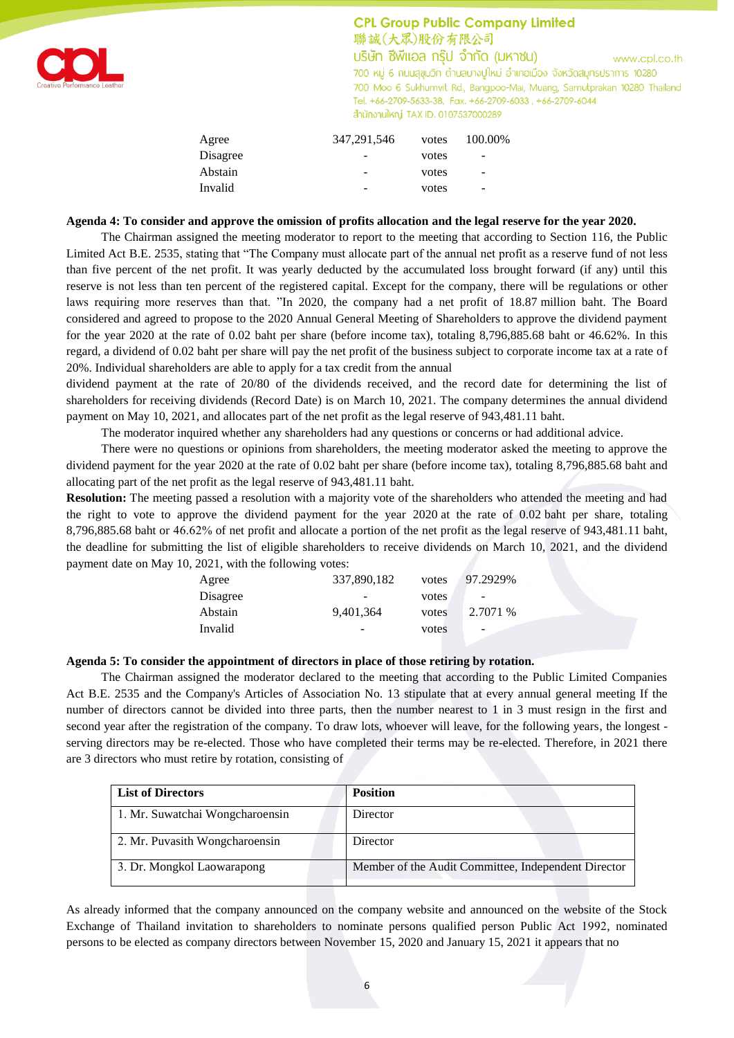

# **CPL Group Public Company Limited** 聯誠(大眾)股份有限公司

บริษัท ซีพีแอล กรุ๊ป จำกัด (มหาชน) www.cpl.co.th 700 หมู่ 6 ถนนสุขุมวิท ตำบลบางปูใหม่ อำเภอเมือง จังหวัดสมุทรปราการ 10280 700 Moo 6 Sukhumvit Rd., Bangpoo-Mai, Muang, Samutprakan 10280 Thailand Tel. +66-2709-5633-38, Fax. +66-2709-6033, +66-2709-6044 ลำนักงานใหญ่ TAX ID. 0107537000289

| Agree    | 347,291,546 | votes | 100.00%                  |
|----------|-------------|-------|--------------------------|
| Disagree | -           | votes | $\overline{\phantom{a}}$ |
| Abstain  | -           | votes | $\overline{\phantom{a}}$ |
| Invalid  | -           | votes | $\overline{\phantom{a}}$ |
|          |             |       |                          |

## **Agenda 4: To consider and approve the omission of profits allocation and the legal reserve for the year 2020.**

The Chairman assigned the meeting moderator to report to the meeting that according to Section 116, the Public Limited Act B.E. 2535, stating that "The Company must allocate part of the annual net profit as a reserve fund of not less than five percent of the net profit. It was yearly deducted by the accumulated loss brought forward (if any) until this reserve is not less than ten percent of the registered capital. Except for the company, there will be regulations or other laws requiring more reserves than that. "In 2020, the company had a net profit of 18.87 million baht. The Board considered and agreed to propose to the 2020 Annual General Meeting of Shareholders to approve the dividend payment for the year 2020 at the rate of 0.02 baht per share (before income tax), totaling 8,796,885.68 baht or 46.62%. In this regard, a dividend of 0.02 baht per share will pay the net profit of the business subject to corporate income tax at a rate of 20%. Individual shareholders are able to apply for a tax credit from the annual

dividend payment at the rate of 20/80 of the dividends received, and the record date for determining the list of shareholders for receiving dividends (Record Date) is on March 10, 2021. The company determines the annual dividend payment on May 10, 2021, and allocates part of the net profit as the legal reserve of 943,481.11 baht.

The moderator inquired whether any shareholders had any questions or concerns or had additional advice.

There were no questions or opinions from shareholders, the meeting moderator asked the meeting to approve the dividend payment for the year 2020 at the rate of 0.02 baht per share (before income tax), totaling 8,796,885.68 baht and allocating part of the net profit as the legal reserve of 943,481.11 baht.

**Resolution:** The meeting passed a resolution with a majority vote of the shareholders who attended the meeting and had the right to vote to approve the dividend payment for the year 2020 at the rate of 0.02 baht per share, totaling 8,796,885.68 baht or 46.62% of net profit and allocate a portion of the net profit as the legal reserve of 943,481.11 baht, the deadline for submitting the list of eligible shareholders to receive dividends on March 10, 2021, and the dividend payment date on May 10, 2021, with the following votes:

| Agree    | 337,890,182                  | votes | 97.2929%                 |  |
|----------|------------------------------|-------|--------------------------|--|
| Disagree | $\qquad \qquad \blacksquare$ | votes | -                        |  |
| Abstain  | 9,401,364                    | votes | 2.7071 %                 |  |
| Invalid  |                              | votes | $\overline{\phantom{0}}$ |  |
|          |                              |       |                          |  |

### **Agenda 5: To consider the appointment of directors in place of those retiring by rotation.**

The Chairman assigned the moderator declared to the meeting that according to the Public Limited Companies Act B.E. 2535 and the Company's Articles of Association No. 13 stipulate that at every annual general meeting If the number of directors cannot be divided into three parts, then the number nearest to 1 in 3 must resign in the first and second year after the registration of the company. To draw lots, whoever will leave, for the following years, the longest serving directors may be re-elected. Those who have completed their terms may be re-elected. Therefore, in 2021 there are 3 directors who must retire by rotation, consisting of

| <b>List of Directors</b>        | <b>Position</b>                                     |
|---------------------------------|-----------------------------------------------------|
| 1. Mr. Suwatchai Wongcharoensin | Director                                            |
| 2. Mr. Puvasith Wongcharoensin  | Director                                            |
| 3. Dr. Mongkol Laowarapong      | Member of the Audit Committee, Independent Director |

As already informed that the company announced on the company website and announced on the website of the Stock Exchange of Thailand invitation to shareholders to nominate persons qualified person Public Act 1992, nominated persons to be elected as company directors between November 15, 2020 and January 15, 2021 it appears that no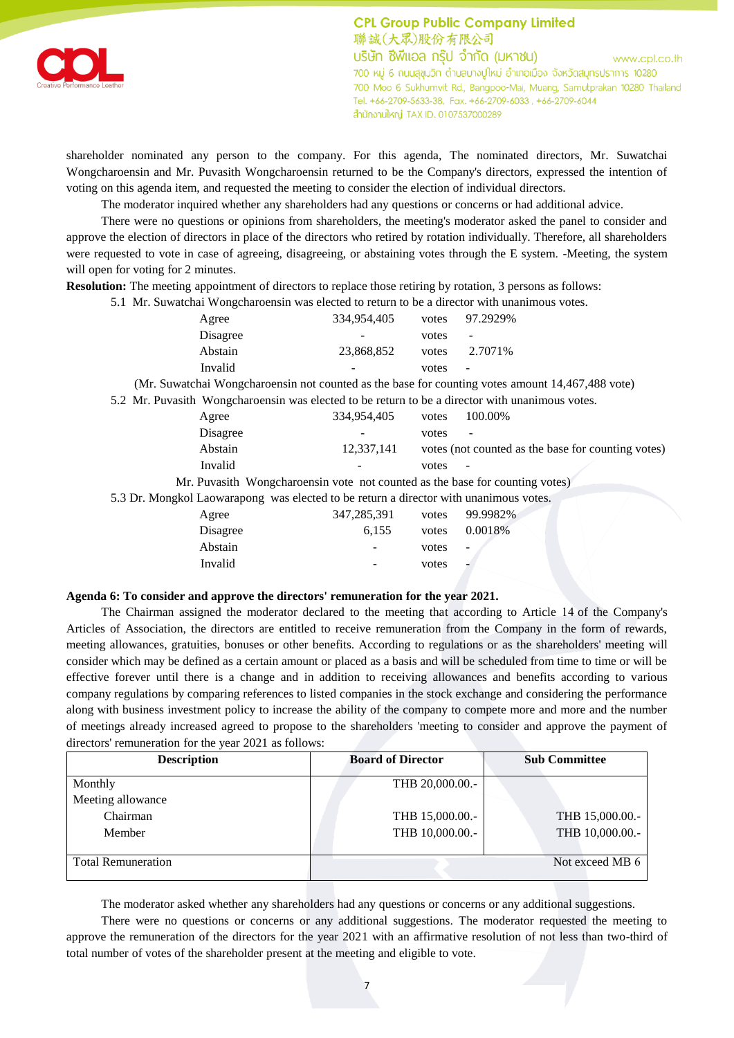

**CPL Group Public Company Limited** 聯誠(大眾)股份有限公司 บริษัท ซีพีแอล กรุ๊ป จำกัด (มหาชน) www.cpl.co.th 700 หมู่ 6 ถนนสุขุมวิท ตำบลบางปูใหม่ อำเภอเมือง จังหวัดสมุทรปราการ 10280 700 Moo 6 Sukhumvit Rd., Bangpoo-Mai, Muang, Samutprakan 10280 Thailand Tel. +66-2709-5633-38, Fax. +66-2709-6033, +66-2709-6044 ลำนักงานใหญ่ TAX ID. 0107537000289

shareholder nominated any person to the company. For this agenda, The nominated directors, Mr. Suwatchai Wongcharoensin and Mr. Puvasith Wongcharoensin returned to be the Company's directors, expressed the intention of voting on this agenda item, and requested the meeting to consider the election of individual directors.

The moderator inquired whether any shareholders had any questions or concerns or had additional advice.

There were no questions or opinions from shareholders, the meeting's moderator asked the panel to consider and approve the election of directors in place of the directors who retired by rotation individually. Therefore, all shareholders were requested to vote in case of agreeing, disagreeing, or abstaining votes through the E system. -Meeting, the system will open for voting for 2 minutes.

**Resolution:** The meeting appointment of directors to replace those retiring by rotation, 3 persons as follows:

5.1 Mr. Suwatchai Wongcharoensin was elected to return to be a director with unanimous votes.

| Agree    | 334,954,405                  | votes | 97.2929%          |
|----------|------------------------------|-------|-------------------|
| Disagree | $\qquad \qquad \blacksquare$ | votes | $\qquad \qquad -$ |
| Abstain  | 23,868,852                   | votes | 2.7071\%          |
| Invalid  | $\qquad \qquad \blacksquare$ | votes | $\sim$            |
|          |                              |       |                   |

(Mr. Suwatchai Wongcharoensin not counted as the base for counting votes amount 14,467,488 vote)

5.2 Mr. Puvasith Wongcharoensin was elected to be return to be a director with unanimous votes.

| Agree                                                                                 | 334,954,405 | votes | 100.00%                                            |
|---------------------------------------------------------------------------------------|-------------|-------|----------------------------------------------------|
| Disagree                                                                              |             | votes |                                                    |
| Abstain                                                                               | 12,337,141  |       | votes (not counted as the base for counting votes) |
| Invalid                                                                               |             | votes |                                                    |
| Mr. Puvasith Wongcharoensin vote not counted as the base for counting votes)          |             |       |                                                    |
| 5.3 Dr. Mongkol Laowarapong was elected to be return a director with unanimous votes. |             |       |                                                    |
| Agree                                                                                 | 347,285,391 | votes | 99.9982%                                           |
| Disagree                                                                              | 6,155       | votes | 0.0018%                                            |
| Abstain                                                                               |             | votes | -                                                  |
| Invalid                                                                               |             | votes |                                                    |

### **Agenda 6: To consider and approve the directors' remuneration for the year 2021.**

The Chairman assigned the moderator declared to the meeting that according to Article 14 of the Company's Articles of Association, the directors are entitled to receive remuneration from the Company in the form of rewards, meeting allowances, gratuities, bonuses or other benefits. According to regulations or as the shareholders' meeting will consider which may be defined as a certain amount or placed as a basis and will be scheduled from time to time or will be effective forever until there is a change and in addition to receiving allowances and benefits according to various company regulations by comparing references to listed companies in the stock exchange and considering the performance along with business investment policy to increase the ability of the company to compete more and more and the number of meetings already increased agreed to propose to the shareholders 'meeting to consider and approve the payment of directors' remuneration for the year 2021 as follows:

| <b>Description</b>        | <b>Board of Director</b><br><b>Sub Committee</b> |                 |  |
|---------------------------|--------------------------------------------------|-----------------|--|
| Monthly                   | THB 20,000.00.-                                  |                 |  |
| Meeting allowance         |                                                  |                 |  |
| Chairman                  | THB 15,000.00.-                                  | THB 15,000.00.- |  |
| Member                    | THB 10,000.00.-                                  | THB 10,000.00.- |  |
| <b>Total Remuneration</b> |                                                  | Not exceed MB 6 |  |

The moderator asked whether any shareholders had any questions or concerns or any additional suggestions.

There were no questions or concerns or any additional suggestions. The moderator requested the meeting to approve the remuneration of the directors for the year 2021 with an affirmative resolution of not less than two-third of total number of votes of the shareholder present at the meeting and eligible to vote.